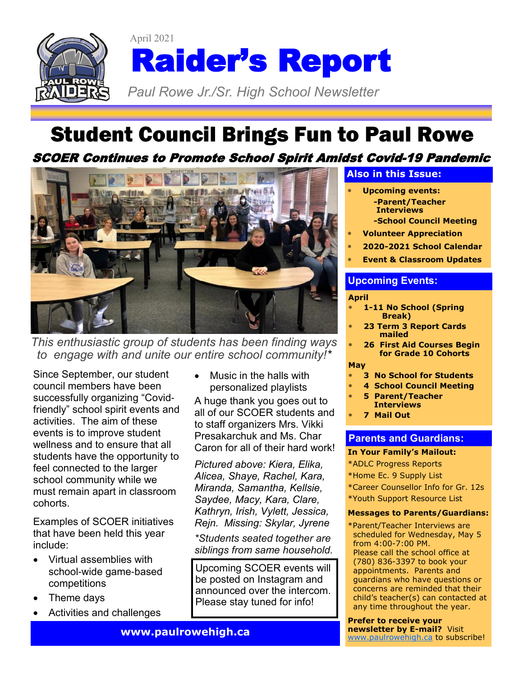

# April 2021 Raider's Report

*Paul Rowe Jr./Sr. High School Newsletter* 

# Student Council Brings Fun to Paul Rowe

### SCOER Continues to Promote School Spirit Amidst Covid-19 Pandemic



*This enthusiastic group of students has been finding ways to engage with and unite our entire school community!\** 

Since September, our student council members have been successfully organizing "Covidfriendly" school spirit events and activities. The aim of these events is to improve student wellness and to ensure that all students have the opportunity to feel connected to the larger school community while we must remain apart in classroom cohorts.

Examples of SCOER initiatives that have been held this year include:

- Virtual assemblies with school-wide game-based competitions
- Theme days
- Activities and challenges

• Music in the halls with personalized playlists

A huge thank you goes out to all of our SCOER students and to staff organizers Mrs. Vikki Presakarchuk and Ms. Char Caron for all of their hard work!

*Pictured above: Kiera, Elika, Alicea, Shaye, Rachel, Kara, Miranda, Samantha, Kellsie, Saydee, Macy, Kara, Clare, Kathryn, Irish, Vylett, Jessica, Rejn. Missing: Skylar, Jyrene*

*\*Students seated together are siblings from same household.*

Upcoming SCOER events will be posted on Instagram and announced over the intercom. Please stay tuned for info!

### **Also in this Issue:**

- **Upcoming events: -Parent/Teacher Interviews -School Council Meeting**
- **Volunteer Appreciation**
- **2020-2021 School Calendar**
- **Event & Classroom Updates**

### **Upcoming Events:**

### **April**

- **1-11 No School (Spring Break)**
- **23 Term 3 Report Cards mailed**
- **26 First Aid Courses Begin for Grade 10 Cohorts**

### **May**

- **3 No School for Students**
- **4 School Council Meeting**
- **5 Parent/Teacher Interviews**
- **7 Mail Out**

### **Parents and Guardians:**

### **In Your Family's Mailout:**

\*ADLC Progress Reports

\*Home Ec. 9 Supply List

- \*Career Counsellor Info for Gr. 12s
- \*Youth Support Resource List

### **Messages to Parents/Guardians:**

\*Parent/Teacher Interviews are scheduled for Wednesday, May 5 from 4:00-7:00 PM. Please call the school office at (780) 836-3397 to book your appointments. Parents and guardians who have questions or concerns are reminded that their child's teacher(s) can contacted at any time throughout the year.

**Prefer to receive your newsletter by E-mail?** Visit [www.paulrowehigh.ca](http://www.paulrowehigh.ca) to subscribe!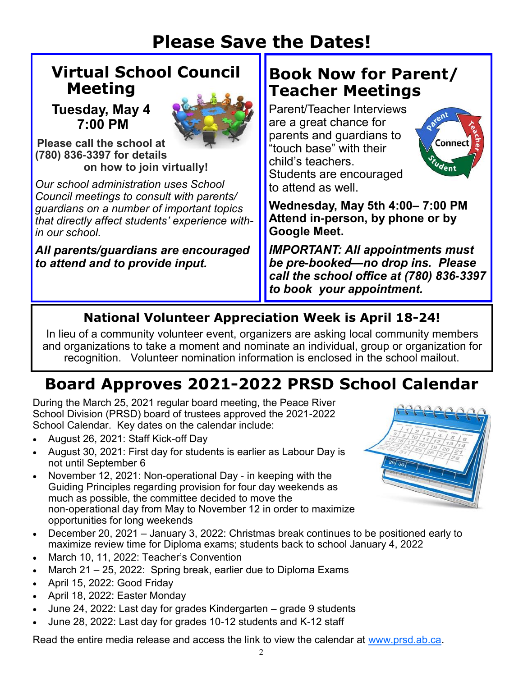# **Please Save the Dates!**

# **Virtual School Council Meeting**

**Tuesday, May 4 7:00 PM**



**Please call the school at (780) 836-3397 for details on how to join virtually!**

*Our school administration uses School Council meetings to consult with parents/ guardians on a number of important topics that directly affect students' experience within our school.* 

*All parents/guardians are encouraged to attend and to provide input.*

# **Book Now for Parent/ Teacher Meetings**

Parent/Teacher Interviews are a great chance for parents and guardians to "touch base" with their child's teachers. Students are encouraged to attend as well.



**Wednesday, May 5th 4:00– 7:00 PM Attend in-person, by phone or by Google Meet.** 

*IMPORTANT: All appointments must be pre-booked—no drop ins. Please call the school office at (780) 836-3397 to book your appointment.*

# **National Volunteer Appreciation Week is April 18-24!**

In lieu of a community volunteer event, organizers are asking local community members and organizations to take a moment and nominate an individual, group or organization for recognition. Volunteer nomination information is enclosed in the school mailout.

# **Board Approves 2021-2022 PRSD School Calendar**

During the March 25, 2021 regular board meeting, the Peace River School Division (PRSD) board of trustees approved the 2021-2022 School Calendar. Key dates on the calendar include:

- August 26, 2021: Staff Kick-off Day
- August 30, 2021: First day for students is earlier as Labour Day is not until September 6
- November 12, 2021: Non-operational Day in keeping with the Guiding Principles regarding provision for four day weekends as much as possible, the committee decided to move the non-operational day from May to November 12 in order to maximize opportunities for long weekends
- December 20, 2021 January 3, 2022: Christmas break continues to be positioned early to maximize review time for Diploma exams; students back to school January 4, 2022
- March 10, 11, 2022: Teacher's Convention
- March 21 25, 2022: Spring break, earlier due to Diploma Exams
- April 15, 2022: Good Friday
- April 18, 2022: Easter Monday
- June 24, 2022: Last day for grades Kindergarten grade 9 students
- June 28, 2022: Last day for grades 10-12 students and K-12 staff

Read the entire media release and access the link to view the calendar at [www.prsd.ab.ca.](http://prsd.ab.ca/view.php?action=object&id=43453&stream=Homepage%20News)

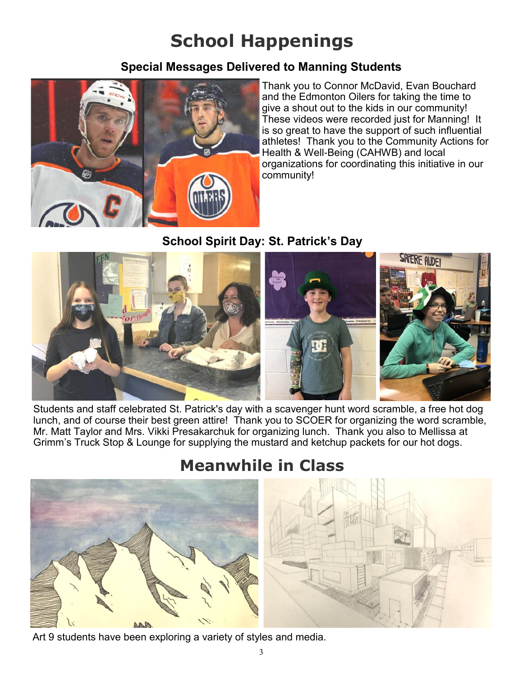# **School Happenings**

### **Special Messages Delivered to Manning Students**



Thank you to Connor McDavid, Evan Bouchard and the Edmonton Oilers for taking the time to give a shout out to the kids in our community! These videos were recorded just for Manning! It is so great to have the support of such influential athletes! Thank you to the Community Actions for Health & Well-Being (CAHWB) and local organizations for coordinating this initiative in our community!

### **School Spirit Day: St. Patrick's Day**



Students and staff celebrated St. Patrick's day with a scavenger hunt word scramble, a free hot dog lunch, and of course their best green attire! Thank you to SCOER for organizing the word scramble, Mr. Matt Taylor and Mrs. Vikki Presakarchuk for organizing lunch. Thank you also to Mellissa at Grimm's Truck Stop & Lounge for supplying the mustard and ketchup packets for our hot dogs.

# **Meanwhile in Class**



Art 9 students have been exploring a variety of styles and media.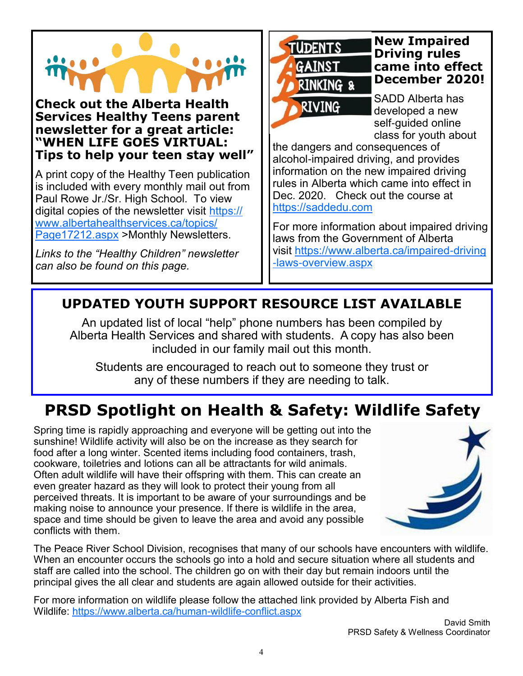**Check out the Alberta Health Services Healthy Teens parent newsletter for a great article: "WHEN LIFE GOES VIRTUAL: Tips to help your teen stay well"**

A print copy of the Healthy Teen publication is included with every monthly mail out from Paul Rowe Jr./Sr. High School. To view digital copies of the newsletter visit [https://](https://www.albertahealthservices.ca/topics/Page17212.aspx) [www.albertahealthservices.ca/topics/](https://www.albertahealthservices.ca/topics/Page17212.aspx) [Page17212.aspx](https://www.albertahealthservices.ca/topics/Page17212.aspx) >Monthly Newsletters.

*Links to the "Healthy Children" newsletter can also be found on this page.*



**New Impaired Driving rules came into effect December 2020!** 

SADD Alberta has developed a new self-quided online class for youth about

the dangers and consequences of alcohol-impaired driving, and provides information on the new impaired driving rules in Alberta which came into effect in Dec. 2020. Check out the course at <https://saddedu.com>

For more information about impaired driving laws from the Government of Alberta visit [https://www.alberta.ca/impaired-driving](https://www.alberta.ca/impaired-driving-laws-overview.aspx) [-laws-overview.aspx](https://www.alberta.ca/impaired-driving-laws-overview.aspx)

## **UPDATED YOUTH SUPPORT RESOURCE LIST AVAILABLE**

An updated list of local "help" phone numbers has been compiled by Alberta Health Services and shared with students. A copy has also been included in our family mail out this month.

Students are encouraged to reach out to someone they trust or any of these numbers if they are needing to talk.

# **PRSD Spotlight on Health & Safety: Wildlife Safety**

Spring time is rapidly approaching and everyone will be getting out into the sunshine! Wildlife activity will also be on the increase as they search for food after a long winter. Scented items including food containers, trash, cookware, toiletries and lotions can all be attractants for wild animals. Often adult wildlife will have their offspring with them. This can create an even greater hazard as they will look to protect their young from all perceived threats. It is important to be aware of your surroundings and be making noise to announce your presence. If there is wildlife in the area, space and time should be given to leave the area and avoid any possible conflicts with them.



The Peace River School Division, recognises that many of our schools have encounters with wildlife. When an encounter occurs the schools go into a hold and secure situation where all students and staff are called into the school. The children go on with their day but remain indoors until the principal gives the all clear and students are again allowed outside for their activities.

For more information on wildlife please follow the attached link provided by Alberta Fish and Wildlife: <https://www.alberta.ca/human-wildlife-conflict.aspx>